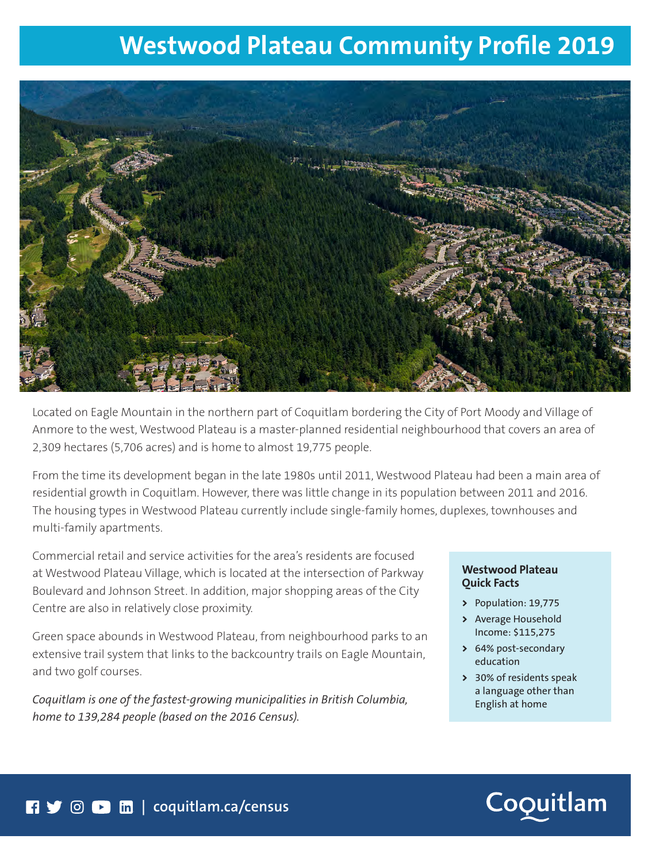# **Westwood Plateau Community Profile 2019**



Located on Eagle Mountain in the northern part of Coquitlam bordering the City of Port Moody and Village of Anmore to the west, Westwood Plateau is a master-planned residential neighbourhood that covers an area of 2,309 hectares (5,706 acres) and is home to almost 19,775 people.

From the time its development began in the late 1980s until 2011, Westwood Plateau had been a main area of residential growth in Coquitlam. However, there was little change in its population between 2011 and 2016. The housing types in Westwood Plateau currently include single-family homes, duplexes, townhouses and multi-family apartments.

Commercial retail and service activities for the area's residents are focused at Westwood Plateau Village, which is located at the intersection of Parkway Boulevard and Johnson Street. In addition, major shopping areas of the City Centre are also in relatively close proximity.

Green space abounds in Westwood Plateau, from neighbourhood parks to an extensive trail system that links to the backcountry trails on Eagle Mountain, and two golf courses.

*Coquitlam is one of the fastest-growing municipalities in British Columbia, home to 139,284 people (based on the 2016 Census).* 

### **Westwood Plateau Quick Facts**

- **>** Population: 19,775
- **>** Average Household Income: \$115,275
- **>** 64% post-secondary education
- **>** 30% of residents speak a language other than English at home

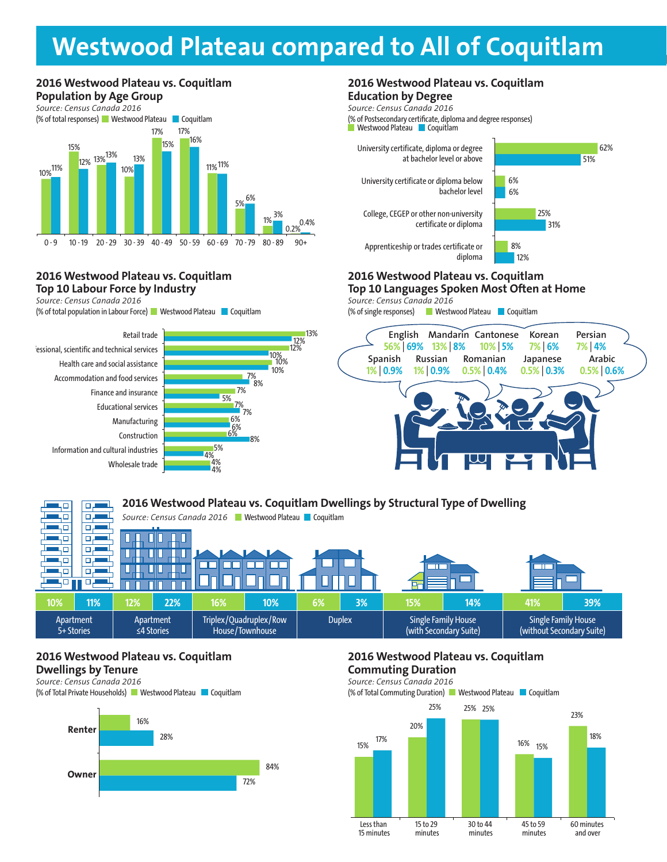# **2016 City Centre vs. Coquitlam Population by Age Group Westwood Plateau compared to All of Coquitlam**

### **2016 Westwood Plateau vs. Coquitlam Population by Age Group**



### **2016 Westwood Plateau vs. Coquitlam Top 10 Labour Force by Industry**

*Source: Census Canada 2016*

(% of total population in Labour Force) Westwood Plateau Coquitlam





4%

#### **2016 Westwood Plateau vs. Coquitlam Education by Degree**

University certificate, diploma or degree at bachelor level or above *Source: Census Canada 2016* (% of Postsecondary certificate, diploma and degree responses) Westwood Plateau **Coquitlam** 

University certificate or diploma below bachelor level

College, CEGEP or other non-university



62%

Apprenticeship or trades certificate or diploma

## **2016 Westwood Plateau vs. Coquitlam**

certificate or diploma

**Top 10 Languages Spoken Most Often at Home BUSINESS BUSINESS**

*Source: Census Canada 2016* **BUSINESS**

(% of single responses) Westwood Plateau Coquitlam



#### **2016 Westwood Plateau vs. Coquitlam Dwellings by Structural Type of Dwelling**  40 ا سے م 50  $\Box$ Source: Census Canada 2016 **Westwood Plateau Coquitlam** ۳L ЧО 口店 ЦÓ o. П 40 क Ш П П कार 40  $\Box$ г Г mг П 40 口口 п  $\Box$ ЦΠ Π **10% 11% 12% 22% 16% 10% 6% 3% 15% 14% 41% 39%** Apartment Apartment Triplex/Quadruplex/Row Duplex | Single Family House Single Family House 5+ Stories ≤4 Stories House/Townhouse (with Secondary Suite) (without Secondary Suite)

### **2016 Westwood Plateau vs. Coquitlam Dwellings by Tenure**

*Source: Census Canada 2016* (% of Total Private Households) Westwood Plateau Coquitlam



### **2016 Westwood Plateau vs. Coquitlam Commuting Duration**

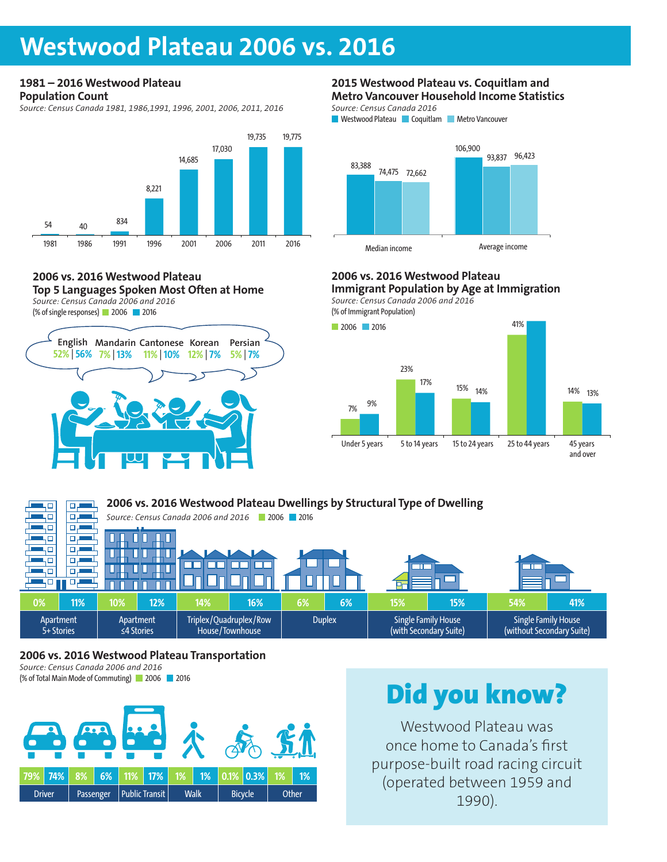# **Westwood Plateau 2006 vs. 2016**

# **1981 – 2016 Westwood Plateau**

**Population Count**

*Source: Census Canada 1981, 1986,1991, 1996, 2001, 2006, 2011, 2016*



#### **2006 vs. 2016 Westwood Plateau Top 5 Languages Spoken Most Often at Home** *Source: Census Canada 2006 and 2016*





#### **2015 Westwood Plateau vs. Coquitlam and Metro Vancouver Household Income Statistics**

*Source: Census Canada 2016*





## **2006 vs. 2016 Westwood Plateau**

**Immigrant Population by Age at Immigration** *Source: Census Canada 2006 and 2016* **BUSINESS**

(% of Immigrant Population)



#### **2006 vs. 2016 Westwood Plateau Dwellings by Structural Type of Dwelling**  'n. ا سے م пp *Source: Census Canada 2006 and 2016* 2006 2016 цο цά بر ص ЦΠ वर П П L ЦÓ क П П Ш Ш ┓ LП  $\Box$ ┱  $\Box$  $\Box$ F П П 1.0  $\Box$ цο 모년 п п **0% 11% 10% 12% 14% 16% 6% 6% 15% 15% 54% 41%** Apartment Apartment Triplex/Quadruplex/Row Duplex | Single Family House Single Family House 5+ Stories ≤4 Stories House/Townhouse (with Secondary Suite) (without Secondary Suite)

### **2006 vs. 2016 Westwood Plateau Transportation**

*Source: Census Canada 2006 and 2016* (% of Total Main Mode of Commuting) 2006 2016



# Did you know?

Westwood Plateau was once home to Canada's first purpose-built road racing circuit (operated between 1959 and 1990).